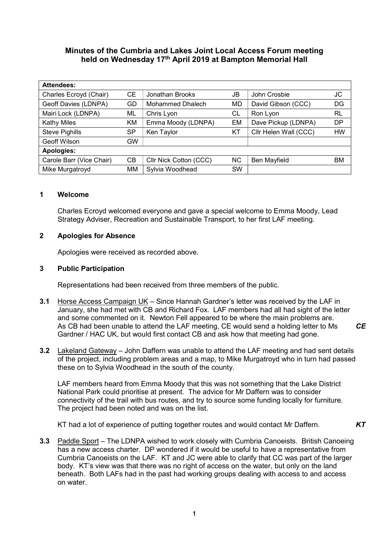# Minutes of the Cumbria and Lakes Joint Local Access Forum meeting held on Wednesday 17<sup>th</sup> April 2019 at Bampton Memorial Hall

| <b>Attendees:</b>        |           |                         |           |                       |           |
|--------------------------|-----------|-------------------------|-----------|-----------------------|-----------|
| Charles Ecroyd (Chair)   | CЕ        | Jonathan Brooks         | JB        | John Crosbie          | JC        |
| Geoff Davies (LDNPA)     | GD        | <b>Mohammed Dhalech</b> | MD        | David Gibson (CCC)    | DG        |
| Mairi Lock (LDNPA)       | ML        | Chris Lyon              | СL        | Ron Lyon              | <b>RL</b> |
| <b>Kathy Miles</b>       | KM        | Emma Moody (LDNPA)      | EM        | Dave Pickup (LDNPA)   | <b>DP</b> |
| <b>Steve Pighills</b>    | SP        | Ken Taylor              | ΚT        | Cllr Helen Wall (CCC) | <b>HW</b> |
| Geoff Wilson             | <b>GW</b> |                         |           |                       |           |
| Apologies:               |           |                         |           |                       |           |
| Carole Barr (Vice Chair) | CВ        | Cllr Nick Cotton (CCC)  | NC        | Ben Mayfield          | BM        |
| Mike Murgatroyd          | MM        | Sylvia Woodhead         | <b>SW</b> |                       |           |

## 1 Welcome

Charles Ecroyd welcomed everyone and gave a special welcome to Emma Moody, Lead Strategy Adviser, Recreation and Sustainable Transport, to her first LAF meeting.

## 2 Apologies for Absence

Apologies were received as recorded above.

## 3 Public Participation

Representations had been received from three members of the public.

- 3.1 Horse Access Campaign UK Since Hannah Gardner's letter was received by the LAF in January, she had met with CB and Richard Fox. LAF members had all had sight of the letter and some commented on it. Newton Fell appeared to be where the main problems are. As CB had been unable to attend the LAF meeting, CE would send a holding letter to Ms Gardner / HAC UK, but would first contact CB and ask how that meeting had gone. **CE**
- 3.2 Lakeland Gateway John Daffern was unable to attend the LAF meeting and had sent details of the project, including problem areas and a map, to Mike Murgatroyd who in turn had passed these on to Sylvia Woodhead in the south of the county.

LAF members heard from Emma Moody that this was not something that the Lake District National Park could prioritise at present. The advice for Mr Daffern was to consider connectivity of the trail with bus routes, and try to source some funding locally for furniture. The project had been noted and was on the list.

KT had a lot of experience of putting together routes and would contact Mr Daffern.  $KT$ 

3.3 Paddle Sport – The LDNPA wished to work closely with Cumbria Canoeists. British Canoeing has a new access charter. DP wondered if it would be useful to have a representative from Cumbria Canoeists on the LAF. KT and JC were able to clarify that CC was part of the larger body. KT's view was that there was no right of access on the water, but only on the land beneath. Both LAFs had in the past had working groups dealing with access to and access on water.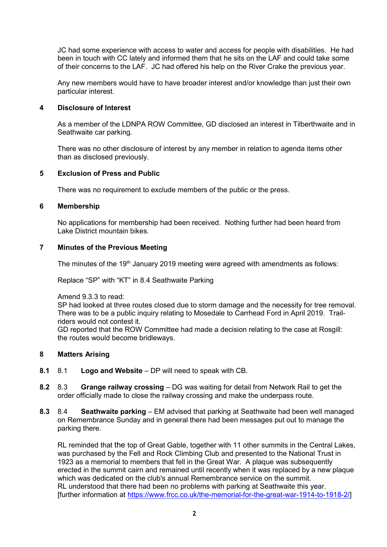JC had some experience with access to water and access for people with disabilities. He had been in touch with CC lately and informed them that he sits on the LAF and could take some of their concerns to the LAF. JC had offered his help on the River Crake the previous year.

Any new members would have to have broader interest and/or knowledge than just their own particular interest.

## 4 Disclosure of Interest

As a member of the LDNPA ROW Committee, GD disclosed an interest in Tilberthwaite and in Seathwaite car parking.

There was no other disclosure of interest by any member in relation to agenda items other than as disclosed previously.

## 5 Exclusion of Press and Public

There was no requirement to exclude members of the public or the press.

#### 6 Membership

No applications for membership had been received. Nothing further had been heard from Lake District mountain bikes.

## 7 Minutes of the Previous Meeting

The minutes of the 19<sup>th</sup> January 2019 meeting were agreed with amendments as follows:

Replace "SP" with "KT" in 8.4 Seathwaite Parking

Amend 9.3.3 to read:

SP had looked at three routes closed due to storm damage and the necessity for tree removal. There was to be a public inquiry relating to Mosedale to Carrhead Ford in April 2019. Trailriders would not contest it.

GD reported that the ROW Committee had made a decision relating to the case at Rosgill: the routes would become bridleways.

#### 8 Matters Arising

- 8.1 8.1 Logo and Website DP will need to speak with CB.
- 8.2 8.3 Grange railway crossing DG was waiting for detail from Network Rail to get the order officially made to close the railway crossing and make the underpass route.
- 8.3 8.4 Seathwaite parking EM advised that parking at Seathwaite had been well managed on Remembrance Sunday and in general there had been messages put out to manage the parking there.

RL reminded that the top of Great Gable, together with 11 other summits in the Central Lakes, was purchased by the Fell and Rock Climbing Club and presented to the National Trust in 1923 as a memorial to members that fell in the Great War. A plaque was subsequently erected in the summit cairn and remained until recently when it was replaced by a new plaque which was dedicated on the club's annual Remembrance service on the summit. RL understood that there had been no problems with parking at Seathwaite this year. [further information at https://www.frcc.co.uk/the-memorial-for-the-great-war-1914-to-1918-2/]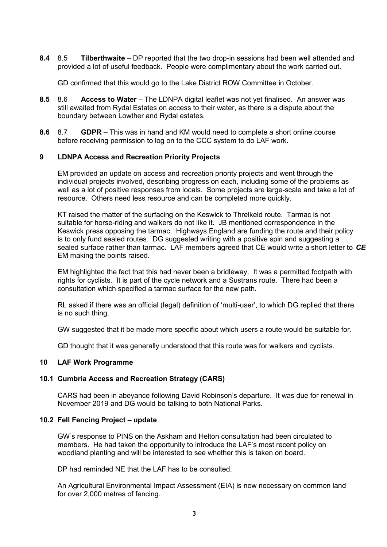8.4 8.5 Tilberthwaite – DP reported that the two drop-in sessions had been well attended and provided a lot of useful feedback. People were complimentary about the work carried out.

GD confirmed that this would go to the Lake District ROW Committee in October.

- 8.5 8.6 Access to Water The LDNPA digital leaflet was not yet finalised. An answer was still awaited from Rydal Estates on access to their water, as there is a dispute about the boundary between Lowther and Rydal estates.
- 8.6 8.7 GDPR This was in hand and KM would need to complete a short online course before receiving permission to log on to the CCC system to do LAF work.

## 9 LDNPA Access and Recreation Priority Projects

EM provided an update on access and recreation priority projects and went through the individual projects involved, describing progress on each, including some of the problems as well as a lot of positive responses from locals. Some projects are large-scale and take a lot of resource. Others need less resource and can be completed more quickly.

KT raised the matter of the surfacing on the Keswick to Threlkeld route. Tarmac is not suitable for horse-riding and walkers do not like it. JB mentioned correspondence in the Keswick press opposing the tarmac. Highways England are funding the route and their policy is to only fund sealed routes. DG suggested writing with a positive spin and suggesting a sealed surface rather than tarmac. LAF members agreed that CE would write a short letter to CE EM making the points raised.

EM highlighted the fact that this had never been a bridleway. It was a permitted footpath with rights for cyclists. It is part of the cycle network and a Sustrans route. There had been a consultation which specified a tarmac surface for the new path.

RL asked if there was an official (legal) definition of 'multi-user', to which DG replied that there is no such thing.

GW suggested that it be made more specific about which users a route would be suitable for.

GD thought that it was generally understood that this route was for walkers and cyclists.

## 10 LAF Work Programme

## 10.1 Cumbria Access and Recreation Strategy (CARS)

CARS had been in abeyance following David Robinson's departure. It was due for renewal in November 2019 and DG would be talking to both National Parks.

### 10.2 Fell Fencing Project – update

GW's response to PINS on the Askham and Helton consultation had been circulated to members. He had taken the opportunity to introduce the LAF's most recent policy on woodland planting and will be interested to see whether this is taken on board.

DP had reminded NE that the LAF has to be consulted.

An Agricultural Environmental Impact Assessment (EIA) is now necessary on common land for over 2,000 metres of fencing.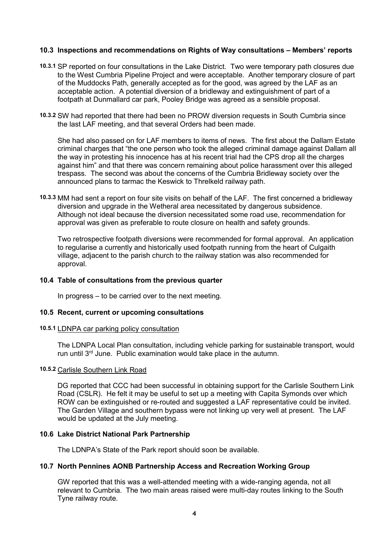## 10.3 Inspections and recommendations on Rights of Way consultations – Members' reports

- 10.3.1 SP reported on four consultations in the Lake District. Two were temporary path closures due to the West Cumbria Pipeline Project and were acceptable. Another temporary closure of part of the Muddocks Path, generally accepted as for the good, was agreed by the LAF as an acceptable action. A potential diversion of a bridleway and extinguishment of part of a footpath at Dunmallard car park, Pooley Bridge was agreed as a sensible proposal.
- 10.3.2 SW had reported that there had been no PROW diversion requests in South Cumbria since the last LAF meeting, and that several Orders had been made.

She had also passed on for LAF members to items of news. The first about the Dallam Estate criminal charges that "the one person who took the alleged criminal damage against Dallam all the way in protesting his innocence has at his recent trial had the CPS drop all the charges against him" and that there was concern remaining about police harassment over this alleged trespass. The second was about the concerns of the Cumbria Bridleway society over the announced plans to tarmac the Keswick to Threlkeld railway path.

10.3.3 MM had sent a report on four site visits on behalf of the LAF. The first concerned a bridleway diversion and upgrade in the Wetheral area necessitated by dangerous subsidence. Although not ideal because the diversion necessitated some road use, recommendation for approval was given as preferable to route closure on health and safety grounds.

Two retrospective footpath diversions were recommended for formal approval. An application to regularise a currently and historically used footpath running from the heart of Culgaith village, adjacent to the parish church to the railway station was also recommended for approval.

#### 10.4 Table of consultations from the previous quarter

In progress – to be carried over to the next meeting.

#### 10.5 Recent, current or upcoming consultations

#### 10.5.1 LDNPA car parking policy consultation

The LDNPA Local Plan consultation, including vehicle parking for sustainable transport, would run until 3rd June. Public examination would take place in the autumn.

#### 10.5.2 Carlisle Southern Link Road

DG reported that CCC had been successful in obtaining support for the Carlisle Southern Link Road (CSLR). He felt it may be useful to set up a meeting with Capita Symonds over which ROW can be extinguished or re-routed and suggested a LAF representative could be invited. The Garden Village and southern bypass were not linking up very well at present. The LAF would be updated at the July meeting.

#### 10.6 Lake District National Park Partnership

The LDNPA's State of the Park report should soon be available.

### 10.7 North Pennines AONB Partnership Access and Recreation Working Group

GW reported that this was a well-attended meeting with a wide-ranging agenda, not all relevant to Cumbria. The two main areas raised were multi-day routes linking to the South Tyne railway route.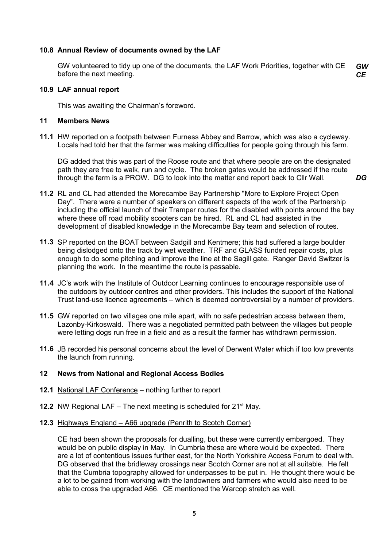## 10.8 Annual Review of documents owned by the LAF

GW volunteered to tidy up one of the documents, the LAF Work Priorities, together with CE before the next meeting. GW **CE** 

#### 10.9 LAF annual report

This was awaiting the Chairman's foreword.

#### 11 Members News

11.1 HW reported on a footpath between Furness Abbey and Barrow, which was also a cycleway. Locals had told her that the farmer was making difficulties for people going through his farm.

DG added that this was part of the Roose route and that where people are on the designated path they are free to walk, run and cycle. The broken gates would be addressed if the route through the farm is a PROW. DG to look into the matter and report back to Cllr Wall. DG

- 11.2 RL and CL had attended the Morecambe Bay Partnership "More to Explore Project Open Day". There were a number of speakers on different aspects of the work of the Partnership including the official launch of their Tramper routes for the disabled with points around the bay where these off road mobility scooters can be hired. RL and CL had assisted in the development of disabled knowledge in the Morecambe Bay team and selection of routes.
- 11.3 SP reported on the BOAT between Sadgill and Kentmere; this had suffered a large boulder being dislodged onto the track by wet weather. TRF and GLASS funded repair costs, plus enough to do some pitching and improve the line at the Sagill gate. Ranger David Switzer is planning the work. In the meantime the route is passable.
- 11.4 JC's work with the Institute of Outdoor Learning continues to encourage responsible use of the outdoors by outdoor centres and other providers. This includes the support of the National Trust land-use licence agreements – which is deemed controversial by a number of providers.
- 11.5 GW reported on two villages one mile apart, with no safe pedestrian access between them, Lazonby-Kirkoswald. There was a negotiated permitted path between the villages but people were letting dogs run free in a field and as a result the farmer has withdrawn permission.
- 11.6 JB recorded his personal concerns about the level of Derwent Water which if too low prevents the launch from running.

### 12 News from National and Regional Access Bodies

- 12.1 National LAF Conference nothing further to report
- **12.2** NW Regional LAF The next meeting is scheduled for  $21^{st}$  May.
- 12.3 Highways England A66 upgrade (Penrith to Scotch Corner)

CE had been shown the proposals for dualling, but these were currently embargoed. They would be on public display in May. In Cumbria these are where would be expected. There are a lot of contentious issues further east, for the North Yorkshire Access Forum to deal with. DG observed that the bridleway crossings near Scotch Corner are not at all suitable. He felt that the Cumbria topography allowed for underpasses to be put in. He thought there would be a lot to be gained from working with the landowners and farmers who would also need to be able to cross the upgraded A66. CE mentioned the Warcop stretch as well.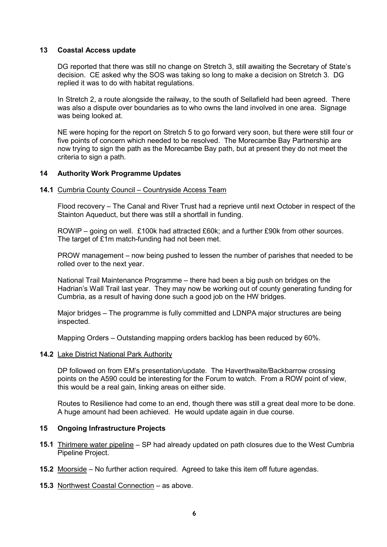## 13 Coastal Access update

 DG reported that there was still no change on Stretch 3, still awaiting the Secretary of State's decision. CE asked why the SOS was taking so long to make a decision on Stretch 3. DG replied it was to do with habitat regulations.

In Stretch 2, a route alongside the railway, to the south of Sellafield had been agreed. There was also a dispute over boundaries as to who owns the land involved in one area. Signage was being looked at.

NE were hoping for the report on Stretch 5 to go forward very soon, but there were still four or five points of concern which needed to be resolved. The Morecambe Bay Partnership are now trying to sign the path as the Morecambe Bay path, but at present they do not meet the criteria to sign a path.

## 14 Authority Work Programme Updates

#### 14.1 Cumbria County Council – Countryside Access Team

Flood recovery – The Canal and River Trust had a reprieve until next October in respect of the Stainton Aqueduct, but there was still a shortfall in funding.

ROWIP – going on well. £100k had attracted £60k; and a further £90k from other sources. The target of £1m match-funding had not been met.

PROW management – now being pushed to lessen the number of parishes that needed to be rolled over to the next year.

National Trail Maintenance Programme – there had been a big push on bridges on the Hadrian's Wall Trail last year. They may now be working out of county generating funding for Cumbria, as a result of having done such a good job on the HW bridges.

Major bridges – The programme is fully committed and LDNPA major structures are being inspected.

Mapping Orders – Outstanding mapping orders backlog has been reduced by 60%.

#### 14.2 Lake District National Park Authority

DP followed on from EM's presentation/update. The Haverthwaite/Backbarrow crossing points on the A590 could be interesting for the Forum to watch. From a ROW point of view, this would be a real gain, linking areas on either side.

Routes to Resilience had come to an end, though there was still a great deal more to be done. A huge amount had been achieved. He would update again in due course.

#### 15 Ongoing Infrastructure Projects

- 15.1 Thirlmere water pipeline SP had already updated on path closures due to the West Cumbria Pipeline Project.
- 15.2 Moorside No further action required. Agreed to take this item off future agendas.
- 15.3 Northwest Coastal Connection as above.